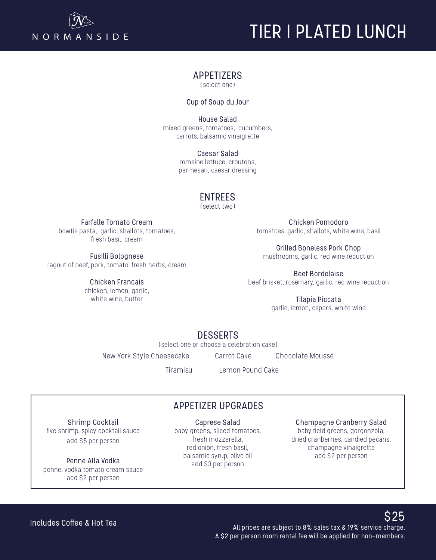

# TIER I PLATED LUNCH

#### APPETIZERS

(select one)

Cup of Soup du Jour

House Salad mixed greens, tomatoes, cucumbers, carrots, balsamic vinaigrette

> Caesar Salad romaine lettuce, croutons, parmesan, caesar dressing

## ENTREES

(select two)

Farfalle Tomato Cream

bowtie pasta, garlic, shallots, tomatoes, fresh basil, cream

Fusilli Bolognese ragout of beef, pork, tomato, fresh herbs, cream

> Chicken Francais chicken, lemon, garlic, white wine, butter

Chicken Pomodoro tomatoes, garlic, shallots, white wine, basil

Grilled Boneless Pork Chop mushrooms, garlic, red wine reduction

Beef Bordelaise beef brisket, rosemary, garlic, red wine reduction

> Tilapia Piccata garlic, lemon, capers, white wine

## **DESSERTS**

(select one or choose a celebration cake)

New York Style Cheesecake Carrot Cake Chocolate Mousse

Tiramisu Lemon Pound Cake

Shrimp Cocktail five shrimp, spicy cocktail sauce add \$5 per person

Penne Alla Vodka penne, vodka tomato cream sauce add \$2 per person

# APPETIZER UPGRADES

Caprese Salad

baby greens, sliced tomatoes, fresh mozzarella, red onion, fresh basil, balsamic syrup, olive oil add \$3 per person

Champagne Cranberry Salad baby field greens, gorgonzola, dried cranberries, candied pecans, champagne vinaigrette add \$2 per person

 $$25$  All prices are subject to 8% sales tax & 19% service charge. A \$2 per person room rental fee will be applied for non-members.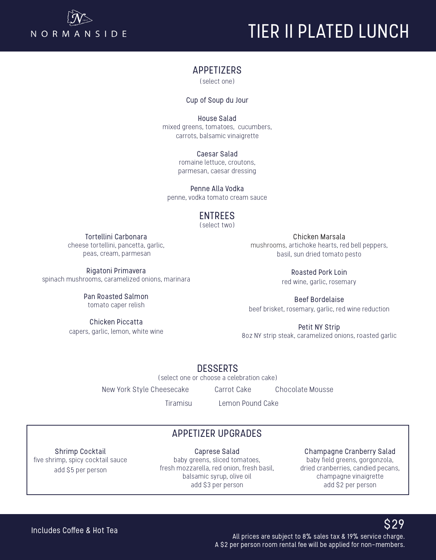

# TIER II PLATED LUN TIER II PLATED LUNCH

#### APPETIZERS

(select one)

#### Cup of Soup du Jour

House Salad mixed greens, tomatoes, cucumbers, carrots, balsamic vinaigrette

> Caesar Salad romaine lettuce, croutons, parmesan, caesar dressing

Penne Alla Vodka penne, vodka tomato cream sauce

### ENTREES

(select two)

Tortellini Carbonara cheese tortellini, pancetta, garlic, peas, cream, parmesan

Rigatoni Primavera spinach mushrooms, caramelized onions, marinara

> Pan Roasted Salmon tomato caper relish

Chicken Piccatta capers, garlic, lemon, white wine

Chicken Marsala mushrooms, artichoke hearts, red bell peppers, basil, sun dried tomato pesto

> Roasted Pork Loin red wine, garlic, rosemary

Beef Bordelaise beef brisket, rosemary, garlic, red wine reduction

Petit NY Strip 8oz NY strip steak, caramelized onions, roasted garlic

DESSERTS

(select one or choose a celebration cake)

New York Style Cheesecake Carrot Cake Chocolate Mousse

Tiramisu Lemon Pound Cake

# APPETIZER UPGRADES

Shrimp Cocktail five shrimp, spicy cocktail sauce add \$5 per person

Caprese Salad baby greens, sliced tomatoes, fresh mozzarella, red onion, fresh basil, balsamic syrup, olive oil add \$3 per person

Champagne Cranberry Salad baby field greens, gorgonzola, dried cranberries, candied pecans, champagne vinaigrette add \$2 per person

#### Includes Coffee & Hot Tea

 $$29$  All prices are subject to 8% sales tax & 19% service charge. A \$2 per person room rental fee will be applied for non-members.